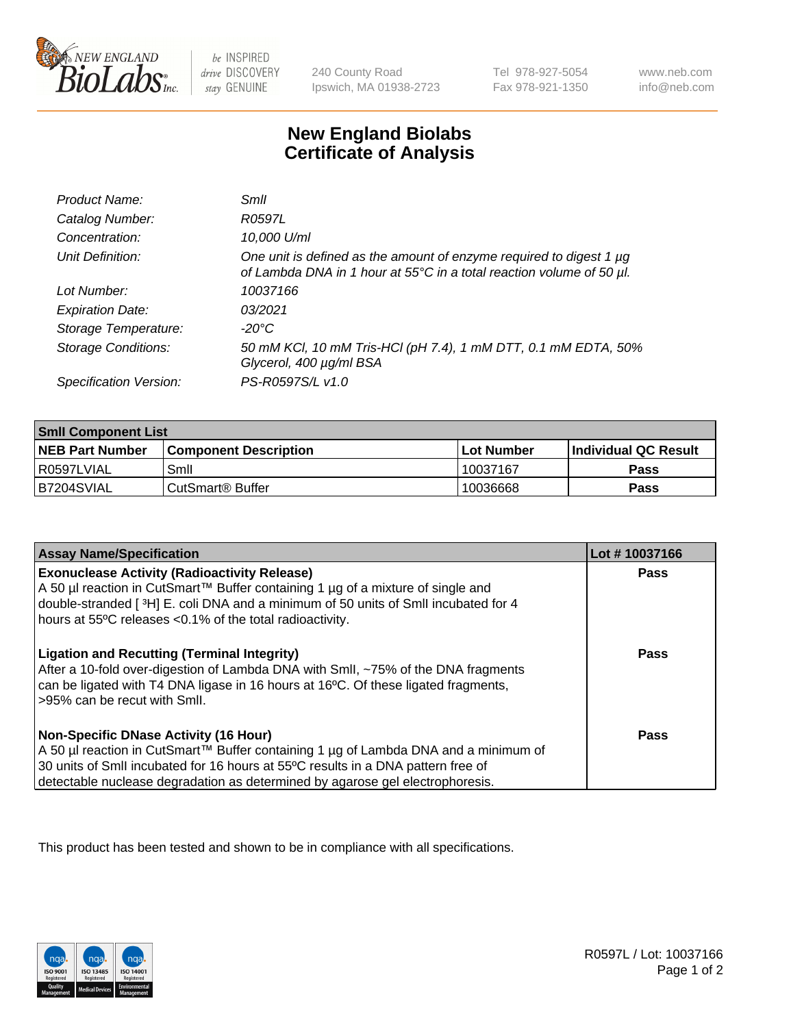

 $be$  INSPIRED drive DISCOVERY stay GENUINE

240 County Road Ipswich, MA 01938-2723 Tel 978-927-5054 Fax 978-921-1350 www.neb.com info@neb.com

## **New England Biolabs Certificate of Analysis**

| Product Name:              | Smil                                                                                                                                        |
|----------------------------|---------------------------------------------------------------------------------------------------------------------------------------------|
| Catalog Number:            | R0597L                                                                                                                                      |
| Concentration:             | 10,000 U/ml                                                                                                                                 |
| Unit Definition:           | One unit is defined as the amount of enzyme required to digest 1 µg<br>of Lambda DNA in 1 hour at 55°C in a total reaction volume of 50 µl. |
| Lot Number:                | 10037166                                                                                                                                    |
| <b>Expiration Date:</b>    | 03/2021                                                                                                                                     |
| Storage Temperature:       | -20°C                                                                                                                                       |
| <b>Storage Conditions:</b> | 50 mM KCl, 10 mM Tris-HCl (pH 7.4), 1 mM DTT, 0.1 mM EDTA, 50%<br>Glycerol, 400 µg/ml BSA                                                   |
| Specification Version:     | PS-R0597S/L v1.0                                                                                                                            |

| <b>Smil Component List</b> |                              |              |                             |  |
|----------------------------|------------------------------|--------------|-----------------------------|--|
| <b>NEB Part Number</b>     | <b>Component Description</b> | l Lot Number | <b>Individual QC Result</b> |  |
| l R0597LVIAL               | Smil                         | 10037167     | Pass                        |  |
| B7204SVIAL                 | CutSmart <sup>®</sup> Buffer | 10036668     | Pass                        |  |

| <b>Assay Name/Specification</b>                                                                                                                                                                                                                                                                          | Lot #10037166 |
|----------------------------------------------------------------------------------------------------------------------------------------------------------------------------------------------------------------------------------------------------------------------------------------------------------|---------------|
| <b>Exonuclease Activity (Radioactivity Release)</b><br>A 50 µl reaction in CutSmart™ Buffer containing 1 µg of a mixture of single and<br>double-stranded [3H] E. coli DNA and a minimum of 50 units of SmII incubated for 4<br>hours at 55°C releases <0.1% of the total radioactivity.                 | Pass          |
| <b>Ligation and Recutting (Terminal Integrity)</b><br>After a 10-fold over-digestion of Lambda DNA with Smll, ~75% of the DNA fragments<br>can be ligated with T4 DNA ligase in 16 hours at 16°C. Of these ligated fragments,<br>>95% can be recut with Smll.                                            | <b>Pass</b>   |
| <b>Non-Specific DNase Activity (16 Hour)</b><br>A 50 µl reaction in CutSmart™ Buffer containing 1 µg of Lambda DNA and a minimum of<br>30 units of SmII incubated for 16 hours at 55°C results in a DNA pattern free of<br>detectable nuclease degradation as determined by agarose gel electrophoresis. | <b>Pass</b>   |

This product has been tested and shown to be in compliance with all specifications.